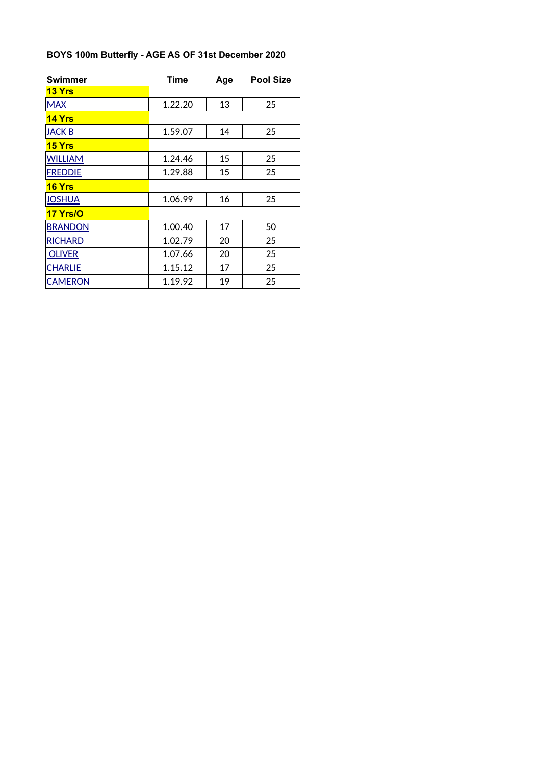# **BOYS 100m Butterfly - AGE AS OF 31st December 2020**

| <b>Swimmer</b>  | <b>Time</b> | Age | <b>Pool Size</b> |
|-----------------|-------------|-----|------------------|
| <b>13 Yrs</b>   |             |     |                  |
| <b>MAX</b>      | 1.22.20     | 13  | 25               |
| <b>14 Yrs</b>   |             |     |                  |
| <b>JACK B</b>   | 1.59.07     | 14  | 25               |
| <b>15 Yrs</b>   |             |     |                  |
| <b>WILLIAM</b>  | 1.24.46     | 15  | 25               |
| <b>FREDDIE</b>  | 1.29.88     | 15  | 25               |
| <b>16 Yrs</b>   |             |     |                  |
| <b>JOSHUA</b>   | 1.06.99     | 16  | 25               |
| <b>17 Yrs/O</b> |             |     |                  |
| <b>BRANDON</b>  | 1.00.40     | 17  | 50               |
| <b>RICHARD</b>  | 1.02.79     | 20  | 25               |
| <b>OLIVER</b>   | 1.07.66     | 20  | 25               |
| <b>CHARLIE</b>  | 1.15.12     | 17  | 25               |
| <b>CAMERON</b>  | 1.19.92     | 19  | 25               |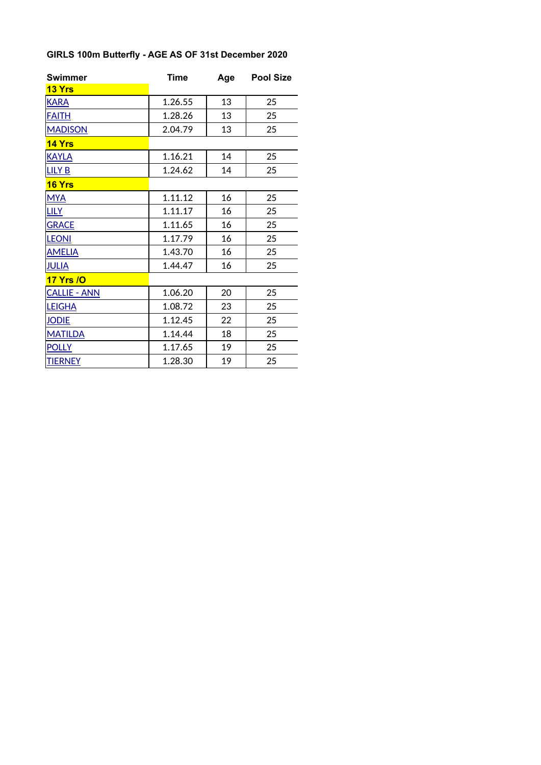# **GIRLS 100m Butterfly - AGE AS OF 31st December 2020**

| <b>Swimmer</b>      | <b>Time</b> | Age | <b>Pool Size</b> |
|---------------------|-------------|-----|------------------|
| <b>13 Yrs</b>       |             |     |                  |
| <b>KARA</b>         | 1.26.55     | 13  | 25               |
| <b>FAITH</b>        | 1.28.26     | 13  | 25               |
| <b>MADISON</b>      | 2.04.79     | 13  | 25               |
| 14 Yrs              |             |     |                  |
| <b>KAYLA</b>        | 1.16.21     | 14  | 25               |
| <b>LILY B</b>       | 1.24.62     | 14  | 25               |
| <b>16 Yrs</b>       |             |     |                  |
| <b>MYA</b>          | 1.11.12     | 16  | 25               |
| <b>LILY</b>         | 1.11.17     | 16  | 25               |
| <b>GRACE</b>        | 1.11.65     | 16  | 25               |
| ileoni              | 1.17.79     | 16  | 25               |
| <b>AMELIA</b>       | 1.43.70     | 16  | 25               |
| <b>JULIA</b>        | 1.44.47     | 16  | 25               |
| <b>17 Yrs /O</b>    |             |     |                  |
| <b>CALLIE - ANN</b> | 1.06.20     | 20  | 25               |
| <b>LEIGHA</b>       | 1.08.72     | 23  | 25               |
| <b>JODIE</b>        | 1.12.45     | 22  | 25               |
| <b>MATILDA</b>      | 1.14.44     | 18  | 25               |
| <b>POLLY</b>        | 1.17.65     | 19  | 25               |
| <b>TIERNEY</b>      | 1.28.30     | 19  | 25               |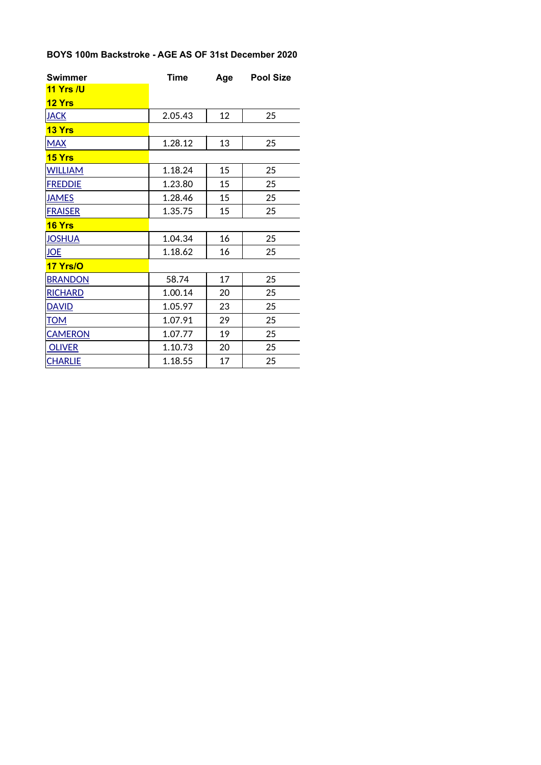#### **Swimmer Time Age Pool Size 11 Yrs /U 12 Yrs**  $2.05.43$  12 25 **13 Yrs**  $1.28.12$  13 25 **15 Yrs**  $1.18.24$  | 15 | 25  $1.23.80$  15 25  $1.28.46$  15 25  $1.35.75$  15 25 **16 Yrs**  $1.04.34$  16 25  $1.18.62$  16 25 **17 Yrs/O** 58.74 17 25  $1.00.14$  | 20 | 25  $1.05.97$  | 23 | 25  $1.07.91$  29 25  $1.07.77$  | 19 | 25  $1.10.73$  | 20 | 25  $1.18.55$  17 25 **[JACK](https://www.swimmingresults.org/individualbest/personal_best.php?back=individualbestname&mode=A&name=marsh&tiref=1236132)** [MAX](https://www.swimmingresults.org/individualbest/personal_best.php?back=individualbestname&mode=A&name=beavington&tiref=1105007) [WILLIAM](https://www.swimmingresults.org/individualbest/personal_best.php?back=individualbestname&mode=A&name=fitzpatrick&tiref=971344) [FREDDIE](https://www.swimmingresults.org/individualbest/personal_best.php?back=individualbestname&mode=A&name=dolman&tiref=772614) **[JAMES](https://www.swimmingresults.org/individualbest/personal_best.php?back=individualbestname&mode=A&name=pieri&tiref=1211857) [FRAISER](https://www.swimmingresults.org/individualbest/personal_best.php?back=individualbestname&mode=A&name=BECKHAM&tiref=835870) [JOSHUA](https://www.swimmingresults.org/individualbest/personal_best.php?back=individualbestname&mode=A&name=baar&tiref=1147672)** [JOE](https://www.swimmingresults.org/individualbest/personal_best.php?back=individualbestname&mode=A&name=rowbottom&tiref=1144401) **[BRANDON](https://www.swimmingresults.org/individualbest/personal_best.php?back=individualbestname&mode=A&name=HARRIS&tiref=729530) [RICHARD](https://www.swimmingresults.org/individualbest/personal_best.php?back=individualbestname&mode=A&name=carr&tiref=444517) [DAVID](https://www.swimmingresults.org/individualbest/personal_best.php?back=individualbestname&mode=A&name=carr&tiref=437916)** [TOM](https://www.swimmingresults.org/individualbest/personal_best.php?back=individualbestname&mode=A&name=ALLEN&tiref=177918) **[CAMERON](https://www.swimmingresults.org/individualbest/personal_best.php?back=individualbestname&mode=A&name=kemp&tiref=1104495) OLIVER [CHARLIE](https://www.swimmingresults.org/individualbest/personal_best.php?back=individualbestname&mode=A&name=morris&tiref=852611)**

# **BOYS 100m Backstroke - AGE AS OF 31st December 2020**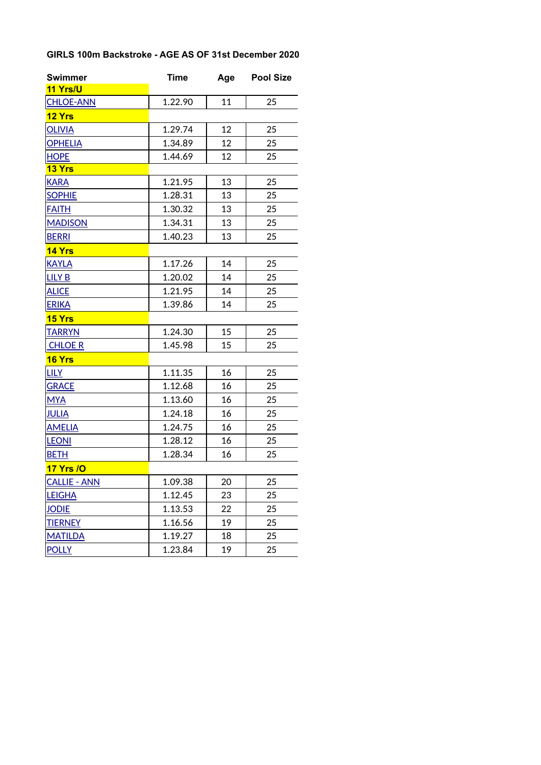# **GIRLS 100m Backstroke - AGE AS OF 31st December 2020**

| <b>Swimmer</b>   | <b>Time</b> | Age | <b>Pool Size</b> |
|------------------|-------------|-----|------------------|
| 11 Yrs/U         |             |     |                  |
| <b>CHLOE-ANN</b> | 1.22.90     | 11  | 25               |
| 12 Yrs           |             |     |                  |
| <b>OLIVIA</b>    | 1.29.74     | 12  | 25               |
| <b>OPHELIA</b>   | 1.34.89     | 12  | 25               |
| <b>HOPE</b>      | 1.44.69     | 12  | 25               |
| 13 Yrs           |             |     |                  |
| <b>KARA</b>      | 1.21.95     | 13  | 25               |
| <b>SOPHIE</b>    | 1.28.31     | 13  | 25               |
| <b>FAITH</b>     | 1.30.32     | 13  | 25               |
| <b>MADISON</b>   | 1.34.31     | 13  | 25               |
| <b>BERRI</b>     | 1.40.23     | 13  | 25               |
| 14 Yrs           |             |     |                  |
| <b>KAYLA</b>     | 1.17.26     | 14  | 25               |
| <b>LILY B</b>    | 1.20.02     | 14  | 25               |
| <b>ALICE</b>     | 1.21.95     | 14  | 25               |
| <b>ERIKA</b>     | 1.39.86     | 14  | 25               |
| 15 Yrs           |             |     |                  |
| <b>TARRYN</b>    | 1.24.30     | 15  | 25               |
| <b>CHLOE R</b>   | 1.45.98     | 15  | 25               |
| 16 Yrs           |             |     |                  |
| <b>LILY</b>      | 1.11.35     | 16  | 25               |
| <b>GRACE</b>     | 1.12.68     | 16  | 25               |
| <b>MYA</b>       | 1.13.60     | 16  | 25               |
| <b>JULIA</b>     | 1.24.18     | 16  | 25               |
| <b>AMELIA</b>    | 1.24.75     | 16  | 25               |
| <b>LEONI</b>     | 1.28.12     | 16  | 25               |
| <b>BETH</b>      | 1.28.34     | 16  | 25               |
| <b>17 Yrs /0</b> |             |     |                  |
| CALLIE - ANN     | 1.09.38     | 20  | 25               |
| <b>LEIGHA</b>    | 1.12.45     | 23  | 25               |
| <b>JODIE</b>     | 1.13.53     | 22  | 25               |
| <b>TIERNEY</b>   | 1.16.56     | 19  | 25               |
| <b>MATILDA</b>   | 1.19.27     | 18  | 25               |
| <b>POLLY</b>     | 1.23.84     | 19  | 25               |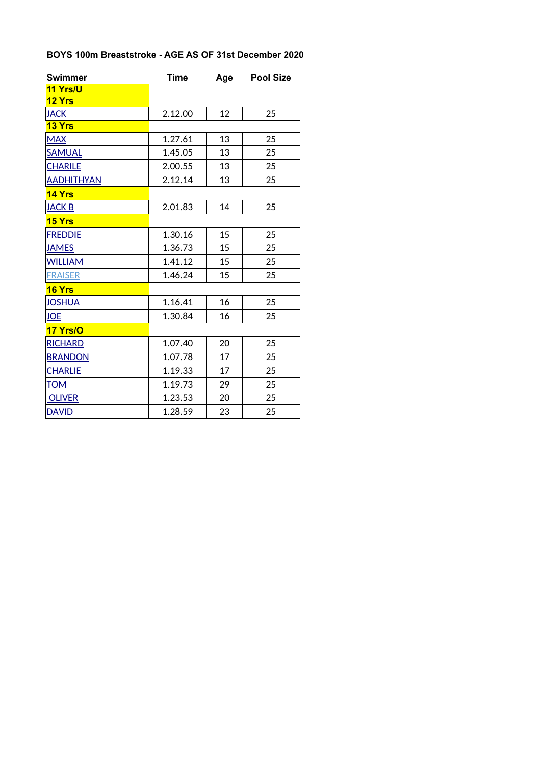| <b>Swimmer</b>    | <b>Time</b> | Age | <b>Pool Size</b> |
|-------------------|-------------|-----|------------------|
| 11 Yrs/U          |             |     |                  |
| 12 Yrs            |             |     |                  |
| <b>JACK</b>       | 2.12.00     | 12  | 25               |
| 13 Yrs            |             |     |                  |
| <b>MAX</b>        | 1.27.61     | 13  | 25               |
| <b>SAMUAL</b>     | 1.45.05     | 13  | 25               |
| <b>CHARILE</b>    | 2.00.55     | 13  | 25               |
| <b>AADHITHYAN</b> | 2.12.14     | 13  | 25               |
| <b>14 Yrs</b>     |             |     |                  |
| <b>JACK B</b>     | 2.01.83     | 14  | 25               |
| <b>15 Yrs</b>     |             |     |                  |
| <b>FREDDIE</b>    | 1.30.16     | 15  | 25               |
| <b>JAMES</b>      | 1.36.73     | 15  | 25               |
| <b>WILLIAM</b>    | 1.41.12     | 15  | 25               |
| <b>FRAISER</b>    | 1.46.24     | 15  | 25               |
| 16 Yrs            |             |     |                  |
| <b>JOSHUA</b>     | 1.16.41     | 16  | 25               |
| <b>JOE</b>        | 1.30.84     | 16  | 25               |
| 17 Yrs/O          |             |     |                  |
| <b>RICHARD</b>    | 1.07.40     | 20  | 25               |
| <b>BRANDON</b>    | 1.07.78     | 17  | 25               |
| <b>CHARLIE</b>    | 1.19.33     | 17  | 25               |
| <b>TOM</b>        | 1.19.73     | 29  | 25               |
| <b>OLIVER</b>     | 1.23.53     | 20  | 25               |
| <b>DAVID</b>      | 1.28.59     | 23  | 25               |

#### **BOYS 100m Breaststroke - AGE AS OF 31st December 2020**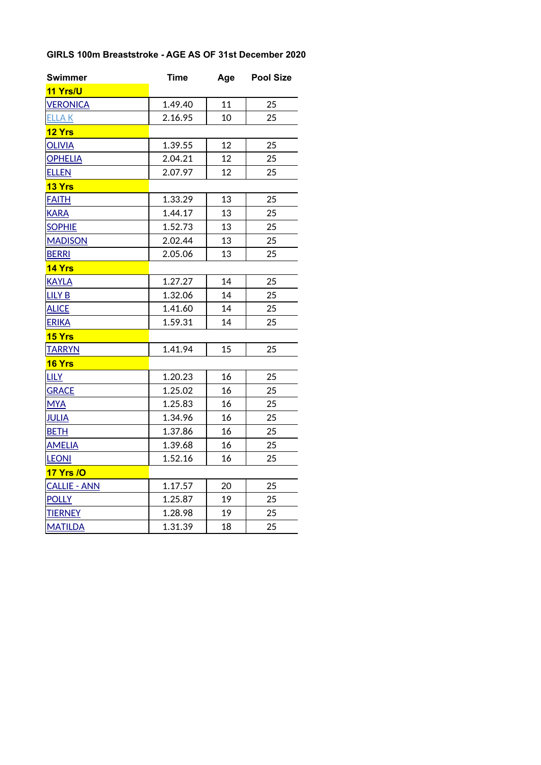# **GIRLS 100m Breaststroke - AGE AS OF 31st December 2020**

| <b>Swimmer</b>      | <b>Time</b> | Age | <b>Pool Size</b> |
|---------------------|-------------|-----|------------------|
| 11 Yrs/U            |             |     |                  |
| <b>VERONICA</b>     | 1.49.40     | 11  | 25               |
| <b>ELLAK</b>        | 2.16.95     | 10  | 25               |
| 12 Yrs              |             |     |                  |
| <b>OLIVIA</b>       | 1.39.55     | 12  | 25               |
| <b>OPHELIA</b>      | 2.04.21     | 12  | 25               |
| <b>ELLEN</b>        | 2.07.97     | 12  | 25               |
| <b>13 Yrs</b>       |             |     |                  |
| <b>FAITH</b>        | 1.33.29     | 13  | 25               |
| <b>KARA</b>         | 1.44.17     | 13  | 25               |
| <b>SOPHIE</b>       | 1.52.73     | 13  | 25               |
| <b>MADISON</b>      | 2.02.44     | 13  | 25               |
| <b>BERRI</b>        | 2.05.06     | 13  | 25               |
| 14 Yrs              |             |     |                  |
| <b>KAYLA</b>        | 1.27.27     | 14  | 25               |
| <b>LILY B</b>       | 1.32.06     | 14  | 25               |
| <b>ALICE</b>        | 1.41.60     | 14  | 25               |
| <b>ERIKA</b>        | 1.59.31     | 14  | 25               |
| 15 Yrs              |             |     |                  |
| <b>TARRYN</b>       | 1.41.94     | 15  | 25               |
| 16 Yrs              |             |     |                  |
| <b>LILY</b>         | 1.20.23     | 16  | 25               |
| <b>GRACE</b>        | 1.25.02     | 16  | 25               |
| <b>MYA</b>          | 1.25.83     | 16  | 25               |
| <b>JULIA</b>        | 1.34.96     | 16  | 25               |
| <b>BETH</b>         | 1.37.86     | 16  | 25               |
| <b>AMELIA</b>       | 1.39.68     | 16  | 25               |
| <b>LEONI</b>        | 1.52.16     | 16  | 25               |
| <b>17 Yrs /0</b>    |             |     |                  |
| <b>CALLIE - ANN</b> | 1.17.57     | 20  | 25               |
| <b>POLLY</b>        | 1.25.87     | 19  | 25               |
| <b>TIERNEY</b>      | 1.28.98     | 19  | 25               |
| <b>MATILDA</b>      | 1.31.39     | 18  | 25               |
|                     |             |     |                  |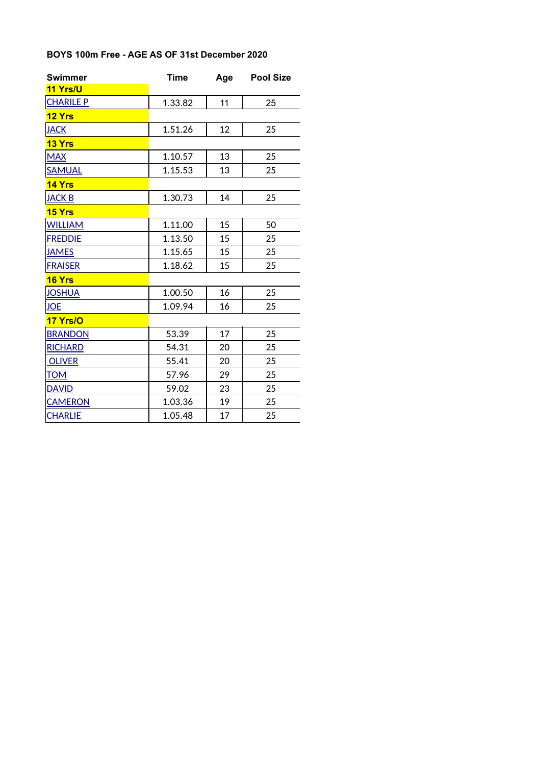### **BOYS 100m Free - AGE AS OF 31st December 2020**

| <b>Swimmer</b>   | <b>Time</b> | Age | <b>Pool Size</b> |
|------------------|-------------|-----|------------------|
| 11 Yrs/U         |             |     |                  |
| <b>CHARILE P</b> | 1.33.82     | 11  | 25               |
| 12 Yrs           |             |     |                  |
| <b>JACK</b>      | 1.51.26     | 12  | 25               |
| <b>13 Yrs</b>    |             |     |                  |
| <b>MAX</b>       | 1.10.57     | 13  | 25               |
| <b>SAMUAL</b>    | 1.15.53     | 13  | 25               |
| 14 Yrs           |             |     |                  |
| <b>JACK B</b>    | 1.30.73     | 14  | 25               |
| <b>15 Yrs</b>    |             |     |                  |
| <b>WILLIAM</b>   | 1.11.00     | 15  | 50               |
| <b>FREDDIE</b>   | 1.13.50     | 15  | 25               |
| <b>JAMES</b>     | 1.15.65     | 15  | 25               |
| <b>FRAISER</b>   | 1.18.62     | 15  | 25               |
| 16 Yrs           |             |     |                  |
| <b>JOSHUA</b>    | 1.00.50     | 16  | 25               |
| <b>JOE</b>       | 1.09.94     | 16  | 25               |
| 17 Yrs/O         |             |     |                  |
| <b>BRANDON</b>   | 53.39       | 17  | 25               |
| <b>RICHARD</b>   | 54.31       | 20  | 25               |
| <b>OLIVER</b>    | 55.41       | 20  | 25               |
| TOM              | 57.96       | 29  | 25               |
| <b>DAVID</b>     | 59.02       | 23  | 25               |
| <b>CAMERON</b>   | 1.03.36     | 19  | 25               |
| <b>CHARLIE</b>   | 1.05.48     | 17  | 25               |
|                  |             |     |                  |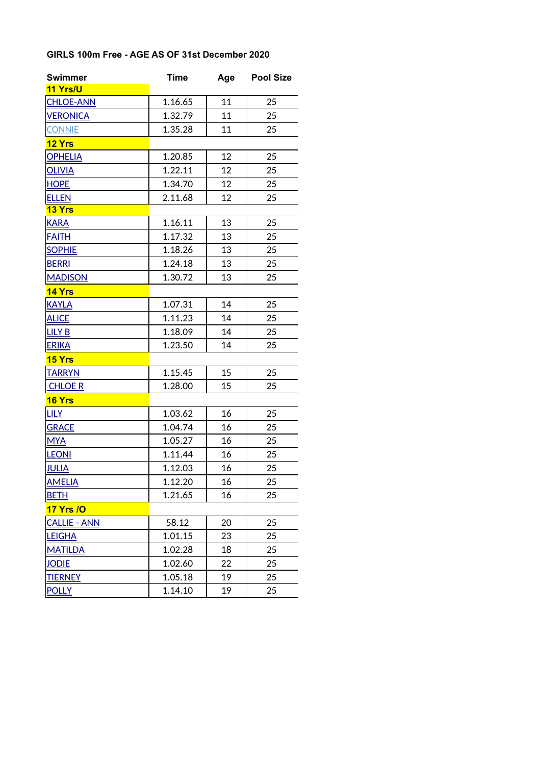### **GIRLS 100m Free - AGE AS OF 31st December 2020**

| <b>Swimmer</b>      | <b>Time</b> | Age | <b>Pool Size</b> |
|---------------------|-------------|-----|------------------|
| 11 Yrs/U            |             |     |                  |
| <b>CHLOE-ANN</b>    | 1.16.65     | 11  | 25               |
| <b>VERONICA</b>     | 1.32.79     | 11  | 25               |
| <b>CONNIE</b>       | 1.35.28     | 11  | 25               |
| 12 Yrs              |             |     |                  |
| <b>OPHELIA</b>      | 1.20.85     | 12  | 25               |
| <b>OLIVIA</b>       | 1.22.11     | 12  | 25               |
| <b>HOPE</b>         | 1.34.70     | 12  | 25               |
| <b>ELLEN</b>        | 2.11.68     | 12  | 25               |
| 13 Yrs              |             |     |                  |
| <b>KARA</b>         | 1.16.11     | 13  | 25               |
| <b>FAITH</b>        | 1.17.32     | 13  | 25               |
| <b>SOPHIE</b>       | 1.18.26     | 13  | 25               |
| <b>BERRI</b>        | 1.24.18     | 13  | 25               |
| <b>MADISON</b>      | 1.30.72     | 13  | 25               |
| 14 Yrs              |             |     |                  |
| <b>KAYLA</b>        | 1.07.31     | 14  | 25               |
| <b>ALICE</b>        | 1.11.23     | 14  | 25               |
| <b>LILY B</b>       | 1.18.09     | 14  | 25               |
| <b>ERIKA</b>        | 1.23.50     | 14  | 25               |
| 15 Yrs              |             |     |                  |
| <b>TARRYN</b>       | 1.15.45     | 15  | 25               |
| <b>CHLOE R</b>      | 1.28.00     | 15  | 25               |
| 16 Yrs              |             |     |                  |
| <b>LILY</b>         | 1.03.62     | 16  | 25               |
| <b>GRACE</b>        | 1.04.74     | 16  | 25               |
| <b>MYA</b>          | 1.05.27     | 16  | 25               |
| <b>LEONI</b>        | 1.11.44     | 16  | 25               |
| <b>JULIA</b>        | 1.12.03     | 16  | 25               |
| <b>AMELIA</b>       | 1.12.20     | 16  | 25               |
| <b>BETH</b>         | 1.21.65     | 16  | 25               |
| <b>17 Yrs /O</b>    |             |     |                  |
| <b>CALLIE - ANN</b> | 58.12       | 20  | 25               |
| <b>LEIGHA</b>       | 1.01.15     | 23  | 25               |
| <b>MATILDA</b>      | 1.02.28     | 18  | 25               |
| <b>JODIE</b>        | 1.02.60     | 22  | 25               |
| <b>TIERNEY</b>      | 1.05.18     | 19  | 25               |
| <b>POLLY</b>        | 1.14.10     | 19  | 25               |
|                     |             |     |                  |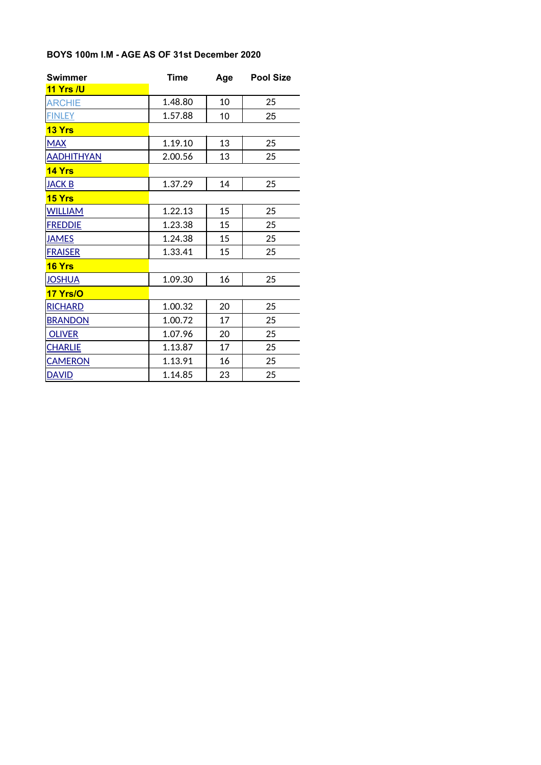## **BOYS 100m I.M - AGE AS OF 31st December 2020**

| <b>Swimmer</b>    | <b>Time</b> | Age | <b>Pool Size</b> |
|-------------------|-------------|-----|------------------|
| 11 Yrs /U         |             |     |                  |
| <b>ARCHIE</b>     | 1.48.80     | 10  | 25               |
| <b>FINLEY</b>     | 1.57.88     | 10  | 25               |
| <b>13 Yrs</b>     |             |     |                  |
| <b>MAX</b>        | 1.19.10     | 13  | 25               |
| <b>AADHITHYAN</b> | 2.00.56     | 13  | 25               |
| 14 Yrs            |             |     |                  |
| <b>JACK B</b>     | 1.37.29     | 14  | 25               |
| <b>15 Yrs</b>     |             |     |                  |
| <b>WILLIAM</b>    | 1.22.13     | 15  | 25               |
| <b>FREDDIE</b>    | 1.23.38     | 15  | 25               |
| <b>JAMES</b>      | 1.24.38     | 15  | 25               |
| <b>FRAISER</b>    | 1.33.41     | 15  | 25               |
| <b>16 Yrs</b>     |             |     |                  |
| <b>JOSHUA</b>     | 1.09.30     | 16  | 25               |
| 17 Yrs/O          |             |     |                  |
| <b>RICHARD</b>    | 1.00.32     | 20  | 25               |
| <b>BRANDON</b>    | 1.00.72     | 17  | 25               |
| <b>OLIVER</b>     | 1.07.96     | 20  | 25               |
| <b>CHARLIE</b>    | 1.13.87     | 17  | 25               |
| <b>CAMERON</b>    | 1.13.91     | 16  | 25               |
| <b>DAVID</b>      | 1.14.85     | 23  | 25               |